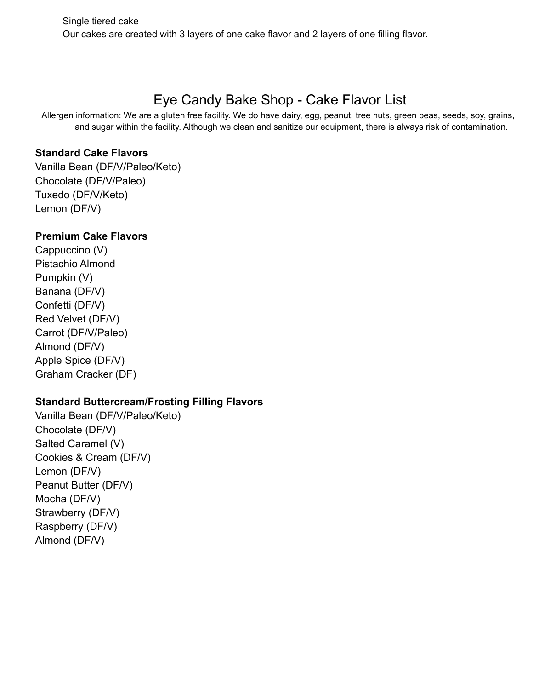# Eye Candy Bake Shop - Cake Flavor List

Allergen information: We are a gluten free facility. We do have dairy, egg, peanut, tree nuts, green peas, seeds, soy, grains, and sugar within the facility. Although we clean and sanitize our equipment, there is always risk of contamination.

## **Standard Cake Flavors**

Vanilla Bean (DF/V/Paleo/Keto) Chocolate (DF/V/Paleo) Tuxedo (DF/V/Keto) Lemon (DF/V)

## **Premium Cake Flavors**

Cappuccino (V) Pistachio Almond Pumpkin (V) Banana (DF/V) Confetti (DF/V) Red Velvet (DF/V) Carrot (DF/V/Paleo) Almond (DF/V) Apple Spice (DF/V) Graham Cracker (DF)

# **Standard Buttercream/Frosting Filling Flavors**

Vanilla Bean (DF/V/Paleo/Keto) Chocolate (DF/V) Salted Caramel (V) Cookies & Cream (DF/V) Lemon (DF/V) Peanut Butter (DF/V) Mocha (DF/V) Strawberry (DF/V) Raspberry (DF/V) Almond (DF/V)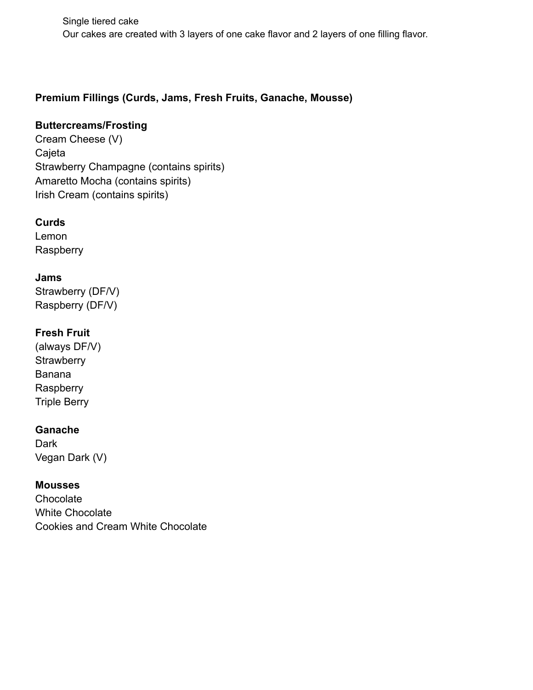Single tiered cake Our cakes are created with 3 layers of one cake flavor and 2 layers of one filling flavor.

# **Premium Fillings (Curds, Jams, Fresh Fruits, Ganache, Mousse)**

# **Buttercreams/Frosting**

Cream Cheese (V) Cajeta Strawberry Champagne (contains spirits) Amaretto Mocha (contains spirits) Irish Cream (contains spirits)

## **Curds**

Lemon **Raspberry** 

### **Jams**

Strawberry (DF/V) Raspberry (DF/V)

## **Fresh Fruit**

(always DF/V) **Strawberry** Banana Raspberry Triple Berry

#### **Ganache**

**Dark** Vegan Dark (V)

#### **Mousses**

**Chocolate** White Chocolate Cookies and Cream White Chocolate